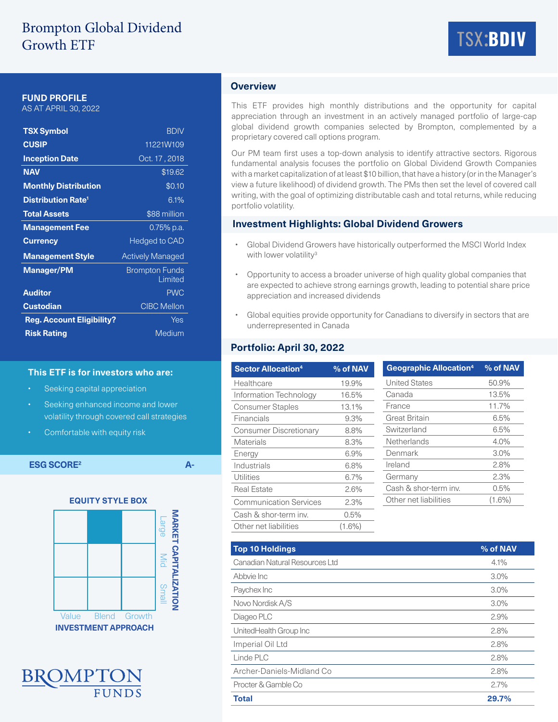# Brompton Global Dividend Growth ETF



## **FUND PROFILE**

AS AT APRIL 30, 2022

| <b>TSX Symbol</b>                    | <b>BDIV</b>                      |  |  |
|--------------------------------------|----------------------------------|--|--|
| <b>CUSIP</b>                         | 11221W109                        |  |  |
| <b>Inception Date</b>                | Oct. 17, 2018                    |  |  |
| <b>NAV</b>                           | \$19.62                          |  |  |
| <b>Monthly Distribution</b>          | \$0.10                           |  |  |
| <b>Distribution Rate<sup>1</sup></b> | 6.1%                             |  |  |
| <b>Total Assets</b>                  | \$88 million                     |  |  |
| <b>Management Fee</b>                | 0.75% p.a.                       |  |  |
| <b>Currency</b>                      | <b>Hedged to CAD</b>             |  |  |
| <b>Management Style</b>              | <b>Actively Managed</b>          |  |  |
| <b>Manager/PM</b>                    | <b>Brompton Funds</b><br>Limited |  |  |
| <b>Auditor</b>                       | <b>PWC</b>                       |  |  |
| <b>Custodian</b>                     | <b>CIBC Mellon</b>               |  |  |
| <b>Reg. Account Eligibility?</b>     | Yes                              |  |  |
| <b>Risk Rating</b>                   | Medium                           |  |  |

#### **This ETF is for investors who are:**

- Seeking capital appreciation
- Seeking enhanced income and lower volatility through covered call strategies
- Comfortable with equity risk

**ESG SCORE2 A-**





# **Overview**

This ETF provides high monthly distributions and the opportunity for capital appreciation through an investment in an actively managed portfolio of large-cap global dividend growth companies selected by Brompton, complemented by a proprietary covered call options program.

Our PM team first uses a top-down analysis to identify attractive sectors. Rigorous fundamental analysis focuses the portfolio on Global Dividend Growth Companies with a market capitalization of at least \$10 billion, that have a history (or in the Manager's view a future likelihood) of dividend growth. The PMs then set the level of covered call writing, with the goal of optimizing distributable cash and total returns, while reducing portfolio volatility.

## **Investment Highlights: Global Dividend Growers**

- Global Dividend Growers have historically outperformed the MSCI World Index with lower volatility<sup>3</sup>
- Opportunity to access a broader universe of high quality global companies that are expected to achieve strong earnings growth, leading to potential share price appreciation and increased dividends
- Global equities provide opportunity for Canadians to diversify in sectors that are underrepresented in Canada

# **Portfolio: April 30, 2022**

| <b>Sector Allocation4</b>     | % of NAV  | Geographic          |  |  |
|-------------------------------|-----------|---------------------|--|--|
| Healthcare                    | 19.9%     | <b>United State</b> |  |  |
| Information Technology        | 16.5%     | Canada              |  |  |
| <b>Consumer Staples</b>       | 13.1%     | France              |  |  |
| Financials                    | 9.3%      | Great Britain       |  |  |
| <b>Consumer Discretionary</b> | 8.8%      | Switzerland         |  |  |
| <b>Materials</b>              | 8.3%      | Netherlands         |  |  |
| Energy                        | 6.9%      | Denmark             |  |  |
| Industrials                   | 6.8%      | Ireland             |  |  |
| Utilities                     | 6.7%      | Germany             |  |  |
| Real Estate                   | 2.6%      | Cash & shor         |  |  |
| <b>Communication Services</b> | $2.3\%$   | Other net lial      |  |  |
| Cash & shor-term inv.         | 0.5%      |                     |  |  |
| Other net liabilities         | $(1.6\%)$ |                     |  |  |

| <b>Geographic Allocation<sup>4</sup></b> | % of NAV  |
|------------------------------------------|-----------|
| <b>United States</b>                     | 50.9%     |
| Canada                                   | 13.5%     |
| France                                   | 11.7%     |
| Great Britain                            | 6.5%      |
| Switzerland                              | 6.5%      |
| Netherlands                              | 4.0%      |
| Denmark                                  | 3.0%      |
| Ireland                                  | 2.8%      |
| Germany                                  | 2.3%      |
| Cash & shor-term inv.                    | 0.5%      |
| Other net liabilities                    | $(1.6\%)$ |

| <b>Top 10 Holdings</b>         | % of NAV |
|--------------------------------|----------|
| Canadian Natural Resources Ltd | 4.1%     |
| Abbyie Inc                     | 3.0%     |
| Paychex Inc                    | 3.0%     |
| Novo Nordisk A/S               | 3.0%     |
| Diageo PLC                     | 2.9%     |
| UnitedHealth Group Inc         | 2.8%     |
| Imperial Oil Ltd               | 2.8%     |
| Linde PLC                      | 2.8%     |
| Archer-Daniels-Midland Co      | 2.8%     |
| Procter & Gamble Co            | 2.7%     |
| <b>Total</b>                   | 29.7%    |